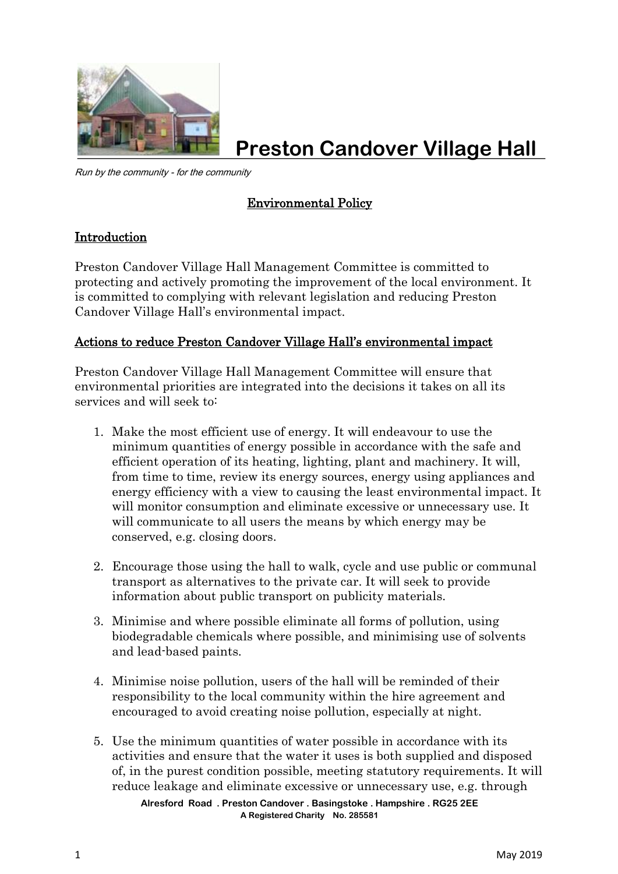

**Preston Candover Village Hall**

Run by the community - for the community

## Environmental Policy

## Introduction

Preston Candover Village Hall Management Committee is committed to protecting and actively promoting the improvement of the local environment. It is committed to complying with relevant legislation and reducing Preston Candover Village Hall's environmental impact.

## Actions to reduce Preston Candover Village Hall's environmental impact

Preston Candover Village Hall Management Committee will ensure that environmental priorities are integrated into the decisions it takes on all its services and will seek to:

- 1. Make the most efficient use of energy. It will endeavour to use the minimum quantities of energy possible in accordance with the safe and efficient operation of its heating, lighting, plant and machinery. It will, from time to time, review its energy sources, energy using appliances and energy efficiency with a view to causing the least environmental impact. It will monitor consumption and eliminate excessive or unnecessary use. It will communicate to all users the means by which energy may be conserved, e.g. closing doors.
- 2. Encourage those using the hall to walk, cycle and use public or communal transport as alternatives to the private car. It will seek to provide information about public transport on publicity materials.
- 3. Minimise and where possible eliminate all forms of pollution, using biodegradable chemicals where possible, and minimising use of solvents and lead-based paints.
- 4. Minimise noise pollution, users of the hall will be reminded of their responsibility to the local community within the hire agreement and encouraged to avoid creating noise pollution, especially at night.
- **Alresford Road . Preston Candover . Basingstoke . Hampshire . RG25 2EE A Registered Charity No. 285581** 5. Use the minimum quantities of water possible in accordance with its activities and ensure that the water it uses is both supplied and disposed of, in the purest condition possible, meeting statutory requirements. It will reduce leakage and eliminate excessive or unnecessary use, e.g. through